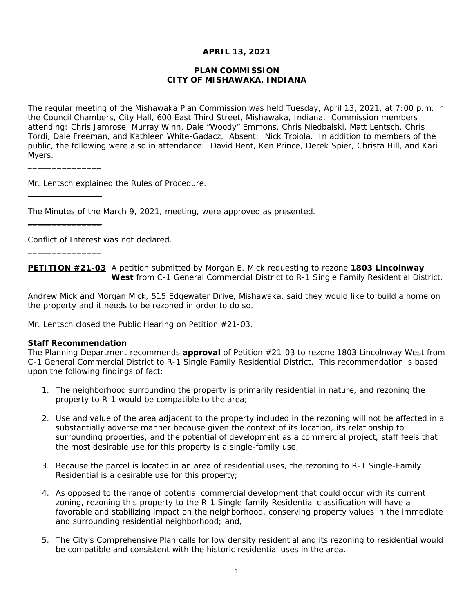## **APRIL 13, 2021**

## **PLAN COMMISSION CITY OF MISHAWAKA, INDIANA**

The regular meeting of the Mishawaka Plan Commission was held Tuesday, April 13, 2021, at 7:00 p.m. in the Council Chambers, City Hall, 600 East Third Street, Mishawaka, Indiana. Commission members attending: Chris Jamrose, Murray Winn, Dale "Woody" Emmons, Chris Niedbalski, Matt Lentsch, Chris Tordi, Dale Freeman, and Kathleen White-Gadacz. Absent: Nick Troiola. In addition to members of the public, the following were also in attendance: David Bent, Ken Prince, Derek Spier, Christa Hill, and Kari Myers.

Mr. Lentsch explained the Rules of Procedure.

The Minutes of the March 9, 2021, meeting, were approved as presented.

Conflict of Interest was not declared.

**PETITION #21-03** A petition submitted by Morgan E. Mick requesting to rezone **1803 Lincolnway West** from C-1 General Commercial District to R-1 Single Family Residential District.

Andrew Mick and Morgan Mick, 515 Edgewater Drive, Mishawaka, said they would like to build a home on the property and it needs to be rezoned in order to do so.

Mr. Lentsch closed the Public Hearing on Petition #21-03.

#### **Staff Recommendation**

 $\overline{\phantom{a}}$  . The state of the state of the state of the state of the state of the state of the state of the state of the state of the state of the state of the state of the state of the state of the state of the state of

 $\_$ 

 $\_$ 

 $\_$ 

*The Planning Department recommends approval of Petition #21-03 to rezone 1803 Lincolnway West from C-1 General Commercial District to R-1 Single Family Residential District. This recommendation is based upon the following findings of fact:* 

- *1. The neighborhood surrounding the property is primarily residential in nature, and rezoning the property to R-1 would be compatible to the area;*
- *2. Use and value of the area adjacent to the property included in the rezoning will not be affected in a substantially adverse manner because given the context of its location, its relationship to surrounding properties, and the potential of development as a commercial project, staff feels that the most desirable use for this property is a single-family use;*
- *3. Because the parcel is located in an area of residential uses, the rezoning to R-1 Single-Family Residential is a desirable use for this property;*
- *4. As opposed to the range of potential commercial development that could occur with its current zoning, rezoning this property to the R-1 Single-family Residential classification will have a favorable and stabilizing impact on the neighborhood, conserving property values in the immediate and surrounding residential neighborhood; and,*
- *5. The City's Comprehensive Plan calls for low density residential and its rezoning to residential would be compatible and consistent with the historic residential uses in the area.*